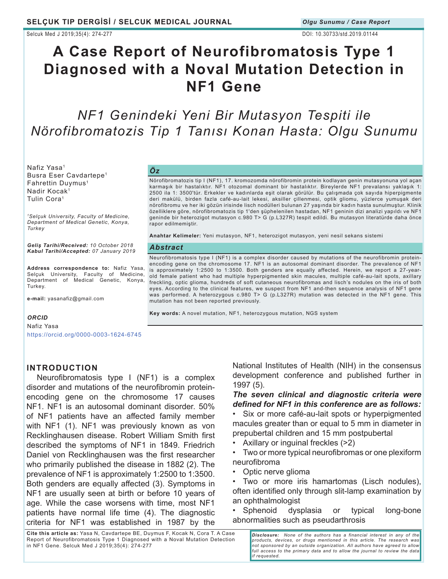Selcuk Med J 2019;35(4): 274-277 DOI: 10.30733/std.2019.01144

# **A Case Report of Neurofibromatosis Type 1 Diagnosed with a Noval Mutation Detection in NF1 Gene**

## *NF1 Genindeki Yeni Bir Mutasyon Tespiti ile Nörofibromatozis Tip 1 Tanısı Konan Hasta: Olgu Sunumu*

Nafiz Yasa<sup>1</sup> Busra Eser Cavdartepe<sup>1</sup> Fahrettin Duymus<sup>1</sup> Nadir Kocak<sup>1</sup> Tulin Cora<sup>1</sup>

*<sup>1</sup>Selçuk University, Faculty of Medicine, Department of Medical Genetic, Konya, Turkey*

*Geliş Tarihi/Received: 10 October 2018 Kabul Tarihi/Accepted: 07 January 2019*

**Address correspondence to:** Nafiz Yasa, Selçuk University, Faculty of Medicine, Department of Medical Genetic, Konya, Turkey.

**e-mail:** yasanafiz@gmail.com

#### *ORCID*

Nafiz Yasa https://orcid.org/0000-0003-1624-6745

### *Öz*

Nörofibromatozis tip I (NF1), 17. kromozomda nörofibromin protein kodlayan genin mutasyonuna yol açan karmaşık bir hastalıktır. NF1 otozomal dominant bir hastalıktır. Bireylerde NF1 prevalansı yaklaşık 1: 2500 ila 1: 3500'tür. Erkekler ve kadınlarda eşit olarak görülür. Bu çalışmada çok sayıda hiperpigmente deri makülü, birden fazla café-au-lait lekesi, aksiller çillenmesi, optik gliomu, yüzlerce yumuşak deri nörofibromu ve her iki gözün irisinde lisch nodülleri bulunan 27 yaşında bir kadın hasta sunulmuştur. Klinik özelliklere göre, nörofibromatozis tip 1'den şüphelenilen hastadan, NF1 geninin dizi analizi yapıldı ve NF1 geninde bir heterozigot mutasyon c.980 T> G (p.L327R) tespit edildi. Bu mutasyon literatürde daha önce rapor edilmemiştir.

**Anahtar Kelimeler:** Yeni mutasyon, NF1, heterozigot mutasyon, yeni nesil sekans sistemi

#### *Abstract*

Neurofibromatosis type I (NF1) is a complex disorder caused by mutations of the neurofibromin proteinencoding gene on the chromosome 17. NF1 is an autosomal dominant disorder. The prevalence of NF1 is approximately 1:2500 to 1:3500. Both genders are equally affected. Herein, we report a 27-yearold female patient who had multiple hyperpigmented skin macules, multiple café-au-lait spots, axillary freckling, optic glioma, hundreds of soft cutaneous neurofibromas and lisch's nodules on the iris of both eyes. According to the clinical features, we suspect from NF1 and-then sequence analysis of NF1 gene was performed. A heterozygous c.980 T> G (p.L327R) mutation was detected in the NF1 gene. This mutation has not been reported previously.

**Key words:** A novel mutation, NF1, heterozygous mutation, NGS system

## **INTRODUCTION**

Neurofibromatosis type I (NF1) is a complex disorder and mutations of the neurofibromin proteinencoding gene on the chromosome 17 causes NF1. NF1 is an autosomal dominant disorder. 50% of NF1 patients have an affected family member with NF1 (1). NF1 was previously known as von Recklinghausen disease. Robert William Smith first described the symptoms of NF1 in 1849. Friedrich Daniel von Recklinghausen was the first researcher who primarily published the disease in 1882 (2). The prevalence of NF1 is approximately 1:2500 to 1:3500. Both genders are equally affected (3). Symptoms in NF1 are usually seen at birth or before 10 years of age. While the case worsens with time, most NF1 patients have normal life time (4). The diagnostic criteria for NF1 was established in 1987 by the

National Institutes of Health (NIH) in the consensus development conference and published further in 1997 (5).

*The seven clinical and diagnostic criteria were defined for NF1 in this conference are as follows:*

• Six or more café-au-lait spots or hyperpigmented macules greater than or equal to 5 mm in diameter in prepubertal children and 15 mm postpubertal

- Axillary or inguinal freckles (>2)
- Two or more typical neurofibromas or one plexiform neurofibroma
- Optic nerve glioma

• Two or more iris hamartomas (Lisch nodules), often identified only through slit-lamp examination by an ophthalmologist

• Sphenoid dysplasia or typical long-bone abnormalities such as pseudarthrosis

**Cite this article as:** Yasa N, Cavdartepe BE, Duymus F, Kocak N, Cora T. A Case Report of Neurofibromatosis Type 1 Diagnosed with a Noval Mutation Detection in NF1 Gene. Selcuk Med J 2019;35(4): 274-277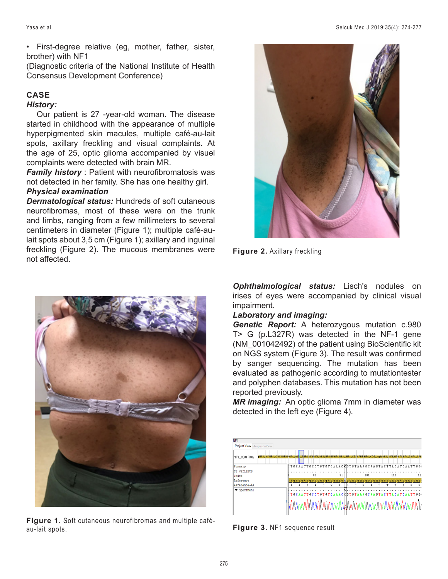• First-degree relative (eg, mother, father, sister, brother) with NF1

(Diagnostic criteria of the National Institute of Health Consensus Development Conference)

## **CASE**

## *History:*

Our patient is 27 -year-old woman. The disease started in childhood with the appearance of multiple hyperpigmented skin macules, multiple café-au-lait spots, axillary freckling and visual complaints. At the age of 25, optic glioma accompanied by visuel complaints were detected with brain MR.

*Family history*: Patient with neurofibromatosis was not detected in her family. She has one healthy girl. *Physical examination*

*Dermatological status:* Hundreds of soft cutaneous neurofibromas, most of these were on the trunk and limbs, ranging from a few millimeters to several centimeters in diameter (Figure 1); multiple café-aulait spots about 3,5 cm (Figure 1); axillary and inguinal freckling (Figure 2). The mucous membranes were not affected.



**Figure 1.** Soft cutaneous neurofibromas and multiple caféau-lait spots.



**Figure 2.** Axillary freckling

*Ophthalmological status:* Lisch's nodules on irises of eyes were accompanied by clinical visual impairment.

## *Laboratory and imaging:*

*Genetic Report:* A heterozygous mutation c.980 T> G (p.L327R) was detected in the NF-1 gene (NM\_001042492) of the patient using BioScientific kit on NGS system (Figure 3). The result was confirmed by sanger sequencing. The mutation has been evaluated as pathogenic according to mutationtester and polyphen databases. This mutation has not been reported previously.

*MR imaging:* An optic glioma 7mm in diameter was detected in the left eye (Figure 4).



**Figure 3.** NF1 sequence result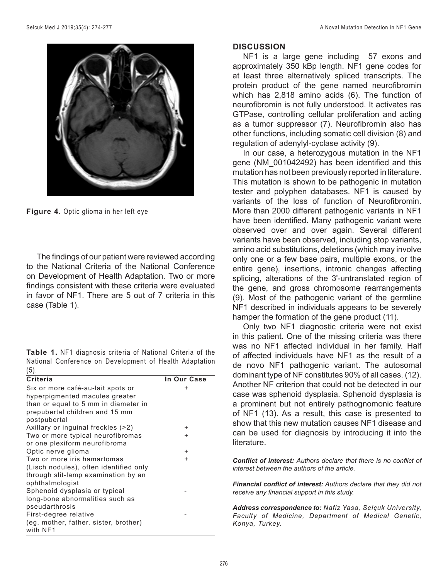

**Figure 4.** Optic glioma in her left eye

The findings of our patient were reviewed according to the National Criteria of the National Conference on Development of Health Adaptation. Two or more findings consistent with these criteria were evaluated in favor of NF1. There are 5 out of 7 criteria in this case (Table 1).

**Table 1.** NF1 diagnosis criteria of National Criteria of the National Conference on Development of Health Adaptation (5).

| <b>Criteria</b>                        | In Our Case |
|----------------------------------------|-------------|
| Six or more café-au-lait spots or      | $\ddot{}$   |
| hyperpigmented macules greater         |             |
| than or equal to 5 mm in diameter in   |             |
| prepubertal children and 15 mm         |             |
| postpubertal                           |             |
| Axillary or inguinal freckles (>2)     | ÷           |
| Two or more typical neurofibromas      | $\ddot{}$   |
| or one plexiform neurofibroma          |             |
| Optic nerve glioma                     | $\ddot{}$   |
| Two or more iris hamartomas            | $\ddot{}$   |
| (Lisch nodules), often identified only |             |
| through slit-lamp examination by an    |             |
| ophthalmologist                        |             |
| Sphenoid dysplasia or typical          |             |
| long-bone abnormalities such as        |             |
| pseudarthrosis                         |             |
| First-degree relative                  |             |
| (eg, mother, father, sister, brother)  |             |
| with NF1                               |             |

## **DISCUSSION**

NF1 is a large gene including 57 exons and approximately 350 kBp length. NF1 gene codes for at least three alternatively spliced transcripts. The protein product of the gene named neurofibromin which has 2,818 amino acids (6). The function of neurofibromin is not fully understood. It activates ras GTPase, controlling cellular proliferation and acting as a tumor suppressor (7). Neurofibromin also has other functions, including somatic cell division (8) and regulation of adenylyl-cyclase activity (9).

In our case, a heterozygous mutation in the NF1 gene (NM\_001042492) has been identified and this mutation has not been previously reported in literature. This mutation is shown to be pathogenic in mutation tester and polyphen databases. NF1 is caused by variants of the loss of function of Neurofibromin. More than 2000 different pathogenic variants in NF1 have been identified. Many pathogenic variant were observed over and over again. Several different variants have been observed, including stop variants, amino acid substitutions, deletions (which may involve only one or a few base pairs, multiple exons, or the entire gene), insertions, intronic changes affecting splicing, alterations of the 3'-untranslated region of the gene, and gross chromosome rearrangements (9). Most of the pathogenic variant of the germline NF1 described in individuals appears to be severely hamper the formation of the gene product (11).

Only two NF1 diagnostic criteria were not exist in this patient. One of the missing criteria was there was no NF1 affected individual in her family. Half of affected individuals have NF1 as the result of a de novo NF1 pathogenic variant. The autosomal dominant type of NF constitutes 90% of all cases. (12). Another NF criterion that could not be detected in our case was sphenoid dysplasia. Sphenoid dysplasia is a prominent but not entirely pathognomonic feature of NF1 (13). As a result, this case is presented to show that this new mutation causes NF1 disease and can be used for diagnosis by introducing it into the literature.

*Conflict of interest: Authors declare that there is no conflict of interest between the authors of the article.*

*Financial conflict of interest: Authors declare that they did not receive any financial support in this study.*

*Address correspondence to: Nafiz Yasa, Selçuk University, Faculty of Medicine, Department of Medical Genetic, Konya, Turkey.*